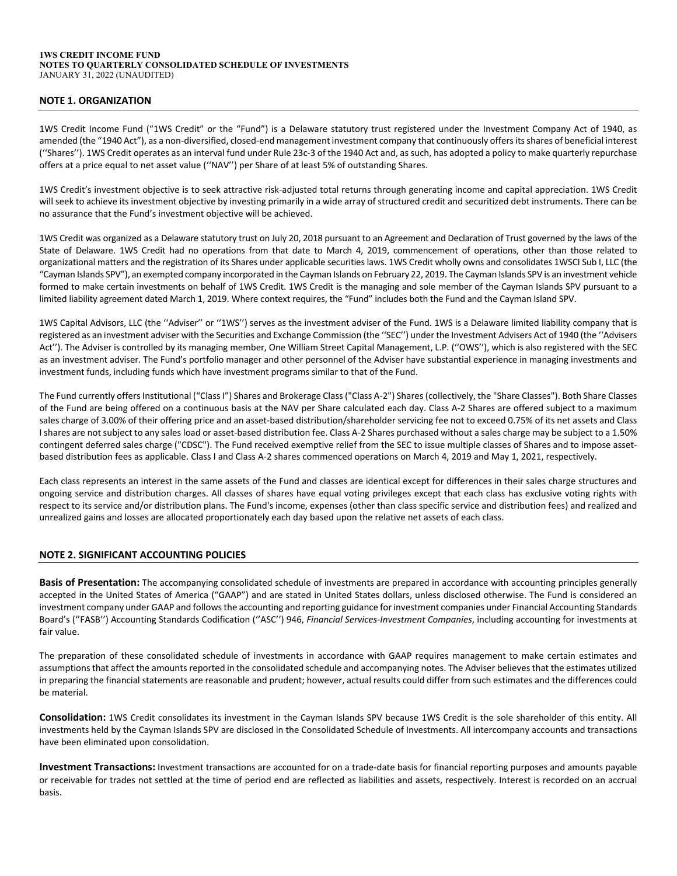#### **1WS CREDIT INCOME FUND NOTES TO QUARTERLY CONSOLIDATED SCHEDULE OF INVESTMENTS**  JANUARY 31, 2022 (UNAUDITED)

# **NOTE 1. ORGANIZATION**

1WS Credit Income Fund ("1WS Credit" or the "Fund") is a Delaware statutory trust registered under the Investment Company Act of 1940, as amended (the "1940 Act"), as a non-diversified, closed-end management investment company that continuously offers its shares of beneficial interest (''Shares''). 1WS Credit operates as an interval fund under Rule 23c‐3 of the 1940 Act and, as such, has adopted a policy to make quarterly repurchase offers at a price equal to net asset value (''NAV'') per Share of at least 5% of outstanding Shares.

1WS Credit's investment objective is to seek attractive risk‐adjusted total returns through generating income and capital appreciation. 1WS Credit will seek to achieve its investment objective by investing primarily in a wide array of structured credit and securitized debt instruments. There can be no assurance that the Fund's investment objective will be achieved.

1WS Credit was organized as a Delaware statutory trust on July 20, 2018 pursuant to an Agreement and Declaration of Trust governed by the laws of the State of Delaware. 1WS Credit had no operations from that date to March 4, 2019, commencement of operations, other than those related to organizational matters and the registration of its Shares under applicable securitieslaws. 1WS Credit wholly owns and consolidates 1WSCI Sub I, LLC (the "Cayman Islands SPV"), an exempted company incorporated in the Cayman Islands on February 22, 2019. The Cayman Islands SPV is an investment vehicle formed to make certain investments on behalf of 1WS Credit. 1WS Credit is the managing and sole member of the Cayman Islands SPV pursuant to a limited liability agreement dated March 1, 2019. Where context requires, the "Fund" includes both the Fund and the Cayman Island SPV.

1WS Capital Advisors, LLC (the ''Adviser'' or ''1WS'') serves as the investment adviser of the Fund. 1WS is a Delaware limited liability company that is registered as an investment adviser with the Securities and Exchange Commission (the ''SEC'') underthe Investment Advisers Act of 1940 (the ''Advisers Act''). The Adviser is controlled by its managing member, One William Street Capital Management, L.P. (''OWS''), which is also registered with the SEC as an investment adviser. The Fund's portfolio manager and other personnel of the Adviser have substantial experience in managing investments and investment funds, including funds which have investment programs similar to that of the Fund.

The Fund currently offers Institutional ("Class I") Shares and Brokerage Class ("Class A-2") Shares (collectively, the "Share Classes"). Both Share Classes of the Fund are being offered on a continuous basis at the NAV per Share calculated each day. Class A‐2 Shares are offered subject to a maximum sales charge of 3.00% of their offering price and an asset-based distribution/shareholder servicing fee not to exceed 0.75% of its net assets and Class I shares are not subject to any sales load or asset-based distribution fee. Class A-2 Shares purchased without a sales charge may be subject to a 1.50% contingent deferred sales charge ("CDSC"). The Fund received exemptive relief from the SEC to issue multiple classes of Shares and to impose assetbased distribution fees as applicable. Class I and Class A‐2 shares commenced operations on March 4, 2019 and May 1, 2021, respectively.

Each class represents an interest in the same assets of the Fund and classes are identical except for differences in their sales charge structures and ongoing service and distribution charges. All classes of shares have equal voting privileges except that each class has exclusive voting rights with respect to its service and/or distribution plans. The Fund's income, expenses (other than class specific service and distribution fees) and realized and unrealized gains and losses are allocated proportionately each day based upon the relative net assets of each class.

## **NOTE 2. SIGNIFICANT ACCOUNTING POLICIES**

**Basis of Presentation:** The accompanying consolidated schedule of investments are prepared in accordance with accounting principles generally accepted in the United States of America ("GAAP") and are stated in United States dollars, unless disclosed otherwise. The Fund is considered an investment company under GAAP and follows the accounting and reporting guidance for investment companies under Financial Accounting Standards Board's (''FASB'') Accounting Standards Codification (''ASC'') 946, *Financial Services‐Investment Companies*, including accounting for investments at fair value.

The preparation of these consolidated schedule of investments in accordance with GAAP requires management to make certain estimates and assumptions that affect the amounts reported in the consolidated schedule and accompanying notes. The Adviser believes that the estimates utilized in preparing the financial statements are reasonable and prudent; however, actual results could differ from such estimates and the differences could be material.

**Consolidation:** 1WS Credit consolidates its investment in the Cayman Islands SPV because 1WS Credit is the sole shareholder of this entity. All investments held by the Cayman Islands SPV are disclosed in the Consolidated Schedule of Investments. All intercompany accounts and transactions have been eliminated upon consolidation.

**Investment Transactions:** Investment transactions are accounted for on a trade‐date basis for financial reporting purposes and amounts payable or receivable for trades not settled at the time of period end are reflected as liabilities and assets, respectively. Interest is recorded on an accrual basis.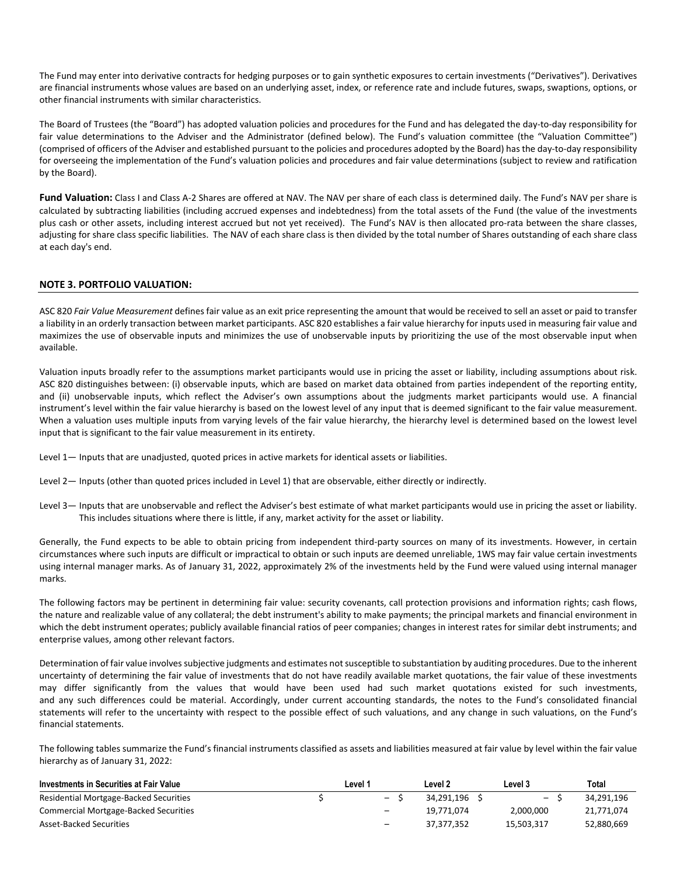The Fund may enter into derivative contracts for hedging purposes or to gain synthetic exposures to certain investments ("Derivatives"). Derivatives are financial instruments whose values are based on an underlying asset, index, or reference rate and include futures, swaps, swaptions, options, or other financial instruments with similar characteristics.

The Board of Trustees (the "Board") has adopted valuation policies and procedures for the Fund and has delegated the day‐to‐day responsibility for fair value determinations to the Adviser and the Administrator (defined below). The Fund's valuation committee (the "Valuation Committee") (comprised of officers of the Adviser and established pursuant to the policies and procedures adopted by the Board) has the day‐to‐day responsibility for overseeing the implementation of the Fund's valuation policies and procedures and fair value determinations (subject to review and ratification by the Board).

Fund Valuation: Class I and Class A-2 Shares are offered at NAV. The NAV per share of each class is determined daily. The Fund's NAV per share is calculated by subtracting liabilities (including accrued expenses and indebtedness) from the total assets of the Fund (the value of the investments plus cash or other assets, including interest accrued but not yet received). The Fund's NAV is then allocated pro-rata between the share classes, adjusting for share class specific liabilities. The NAV of each share class is then divided by the total number of Shares outstanding of each share class at each day's end.

## **NOTE 3. PORTFOLIO VALUATION:**

ASC 820 *Fair Value Measurement* defines fair value as an exit price representing the amount that would be received to sell an asset or paid to transfer a liability in an orderly transaction between market participants. ASC 820 establishes a fair value hierarchy for inputs used in measuring fair value and maximizes the use of observable inputs and minimizes the use of unobservable inputs by prioritizing the use of the most observable input when available.

Valuation inputs broadly refer to the assumptions market participants would use in pricing the asset or liability, including assumptions about risk. ASC 820 distinguishes between: (i) observable inputs, which are based on market data obtained from parties independent of the reporting entity, and (ii) unobservable inputs, which reflect the Adviser's own assumptions about the judgments market participants would use. A financial instrument's level within the fair value hierarchy is based on the lowest level of any input that is deemed significant to the fair value measurement. When a valuation uses multiple inputs from varying levels of the fair value hierarchy, the hierarchy level is determined based on the lowest level input that is significant to the fair value measurement in its entirety.

Level 1— Inputs that are unadjusted, quoted prices in active markets for identical assets or liabilities.

Level 2— Inputs (other than quoted prices included in Level 1) that are observable, either directly or indirectly.

Level 3— Inputs that are unobservable and reflect the Adviser's best estimate of what market participants would use in pricing the asset or liability. This includes situations where there is little, if any, market activity for the asset or liability.

Generally, the Fund expects to be able to obtain pricing from independent third-party sources on many of its investments. However, in certain circumstances where such inputs are difficult or impractical to obtain or such inputs are deemed unreliable, 1WS may fair value certain investments using internal manager marks. As of January 31, 2022, approximately 2% of the investments held by the Fund were valued using internal manager marks.

The following factors may be pertinent in determining fair value: security covenants, call protection provisions and information rights; cash flows, the nature and realizable value of any collateral; the debt instrument's ability to make payments; the principal markets and financial environment in which the debt instrument operates; publicly available financial ratios of peer companies; changes in interest rates for similar debt instruments; and enterprise values, among other relevant factors.

Determination of fair value involves subjective judgments and estimates not susceptible to substantiation by auditing procedures. Due to the inherent uncertainty of determining the fair value of investments that do not have readily available market quotations, the fair value of these investments may differ significantly from the values that would have been used had such market quotations existed for such investments, and any such differences could be material. Accordingly, under current accounting standards, the notes to the Fund's consolidated financial statements will refer to the uncertainty with respect to the possible effect of such valuations, and any change in such valuations, on the Fund's financial statements.

The following tables summarize the Fund's financial instruments classified as assets and liabilities measured at fair value by level within the fair value hierarchy as of January 31, 2022:

| Investments in Securities at Fair Value | ∟evel 1           | Level 2    | Level 3    | Total      |
|-----------------------------------------|-------------------|------------|------------|------------|
| Residential Mortgage-Backed Securities  | $- S$             | 34.291.196 |            | 34.291.196 |
| Commercial Mortgage-Backed Securities   | $\qquad \qquad -$ | 19.771.074 | 2.000.000  | 21,771,074 |
| Asset-Backed Securities                 | $\qquad \qquad -$ | 37.377.352 | 15.503.317 | 52,880,669 |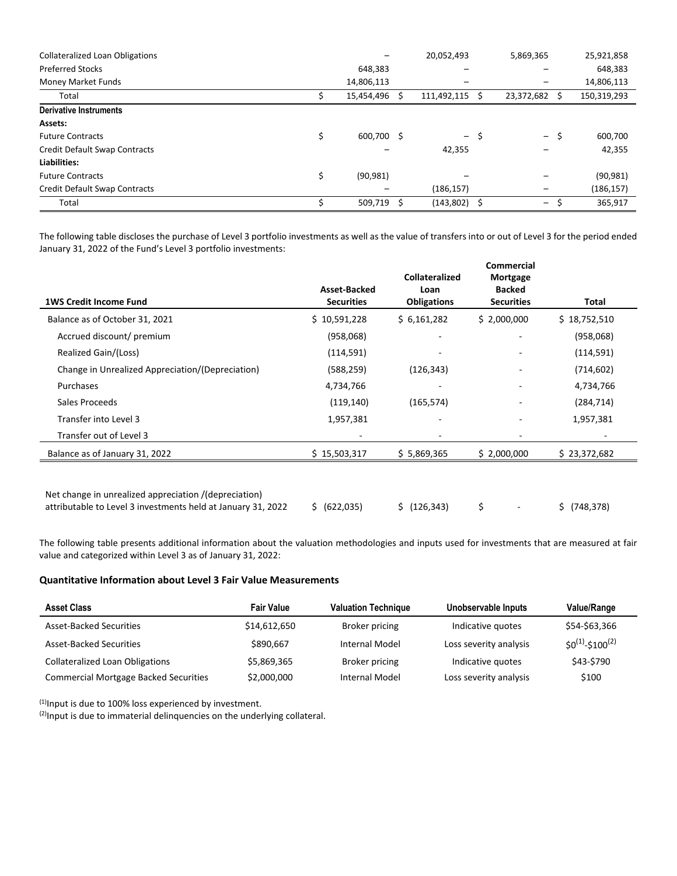| <b>Collateralized Loan Obligations</b> |            |    | 20,052,493  |   | 5,869,365  |    | 25,921,858  |
|----------------------------------------|------------|----|-------------|---|------------|----|-------------|
| <b>Preferred Stocks</b>                | 648,383    |    |             |   |            |    | 648,383     |
| Money Market Funds                     | 14,806,113 |    |             |   |            |    | 14,806,113  |
| Total                                  | 15,454,496 | s  | 111,492,115 | s | 23,372,682 | S. | 150,319,293 |
| <b>Derivative Instruments</b>          |            |    |             |   |            |    |             |
| Assets:                                |            |    |             |   |            |    |             |
| <b>Future Contracts</b>                | 600.700    | -S | – \$        |   | – \$       |    | 600,700     |
| Credit Default Swap Contracts          |            |    | 42,355      |   |            |    | 42,355      |
| Liabilities:                           |            |    |             |   |            |    |             |
| <b>Future Contracts</b>                | (90, 981)  |    |             |   |            |    | (90, 981)   |
| Credit Default Swap Contracts          |            |    | (186, 157)  |   |            |    | (186, 157)  |
| Total                                  | 509,719    |    | (143, 802)  | ב | -          |    | 365,917     |

The following table discloses the purchase of Level 3 portfolio investments as well as the value of transfers into or out of Level 3 for the period ended January 31, 2022 of the Fund's Level 3 portfolio investments:

| <b>1WS Credit Income Fund</b>                    | Asset-Backed<br><b>Securities</b> | <b>Collateralized</b><br>Loan<br><b>Obligations</b> | <b>Commercial</b><br>Mortgage<br><b>Backed</b><br><b>Securities</b> | Total        |
|--------------------------------------------------|-----------------------------------|-----------------------------------------------------|---------------------------------------------------------------------|--------------|
| Balance as of October 31, 2021                   | \$10,591,228                      | \$6,161,282                                         | \$2,000,000                                                         | \$18,752,510 |
| Accrued discount/ premium                        | (958,068)                         |                                                     |                                                                     | (958,068)    |
| Realized Gain/(Loss)                             | (114, 591)                        |                                                     |                                                                     | (114, 591)   |
| Change in Unrealized Appreciation/(Depreciation) | (588, 259)                        | (126, 343)                                          | ۰                                                                   | (714, 602)   |
| Purchases                                        | 4,734,766                         |                                                     |                                                                     | 4,734,766    |
| Sales Proceeds                                   | (119, 140)                        | (165, 574)                                          | ۰                                                                   | (284, 714)   |
| Transfer into Level 3                            | 1,957,381                         | ۰                                                   |                                                                     | 1,957,381    |
| Transfer out of Level 3                          |                                   |                                                     |                                                                     |              |
| Balance as of January 31, 2022                   | \$15,503,317                      | \$5,869,365                                         | \$2,000,000                                                         | \$23,372,682 |

Net change in unrealized appreciation /(depreciation) attributable to Level 3 investments held at January 31, 2022  $\frac{1}{5}$  (622,035)  $\frac{1}{5}$  (126,343)  $\frac{1}{5}$  -  $\frac{1}{5}$  (748,378)

The following table presents additional information about the valuation methodologies and inputs used for investments that are measured at fair value and categorized within Level 3 as of January 31, 2022:

#### **Quantitative Information about Level 3 Fair Value Measurements**

| <b>Asset Class</b>                           | <b>Fair Value</b> | <b>Valuation Technique</b> | Unobservable Inputs    | <b>Value/Range</b>    |
|----------------------------------------------|-------------------|----------------------------|------------------------|-----------------------|
| <b>Asset-Backed Securities</b>               | \$14,612,650      | Broker pricing             | Indicative quotes      | \$54-\$63,366         |
| <b>Asset-Backed Securities</b>               | \$890.667         | <b>Internal Model</b>      | Loss severity analysis | $SO^{(1)}-S100^{(2)}$ |
| <b>Collateralized Loan Obligations</b>       | \$5,869,365       | Broker pricing             | Indicative quotes      | \$43-\$790            |
| <b>Commercial Mortgage Backed Securities</b> | \$2,000,000       | Internal Model             | Loss severity analysis | \$100                 |

 $(1)$ Input is due to 100% loss experienced by investment.

(2) Input is due to immaterial delinquencies on the underlying collateral.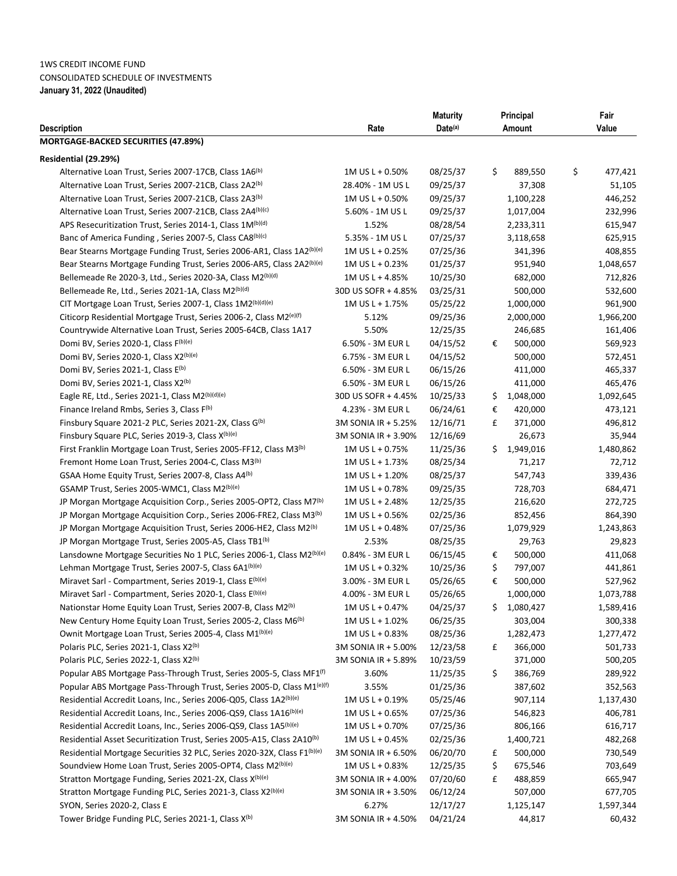# 1WS CREDIT INCOME FUND CONSOLIDATED SCHEDULE OF INVESTMENTS **January 31, 2022 (Unaudited)**

|                                                                                                             |                                            | <b>Maturity</b> |        | Principal         | Fair              |
|-------------------------------------------------------------------------------------------------------------|--------------------------------------------|-----------------|--------|-------------------|-------------------|
| <b>Description</b>                                                                                          | Rate                                       | Date(a)         | Amount |                   | Value             |
| MORTGAGE-BACKED SECURITIES (47.89%)                                                                         |                                            |                 |        |                   |                   |
| Residential (29.29%)                                                                                        |                                            |                 |        |                   |                   |
| Alternative Loan Trust, Series 2007-17CB, Class 1A6 <sup>(b)</sup>                                          | 1M US L + 0.50%                            | 08/25/37        | \$     | 889,550           | \$<br>477,421     |
| Alternative Loan Trust, Series 2007-21CB, Class 2A2 <sup>(b)</sup>                                          | 28.40% - 1M US L                           | 09/25/37        |        | 37,308            | 51,105            |
| Alternative Loan Trust, Series 2007-21CB, Class 2A3 <sup>(b)</sup>                                          | 1M US L + 0.50%                            | 09/25/37        |        | 1,100,228         | 446,252           |
| Alternative Loan Trust, Series 2007-21CB, Class 2A4(b)(c)                                                   | 5.60% - 1M US L                            | 09/25/37        |        | 1,017,004         | 232,996           |
| APS Resecuritization Trust, Series 2014-1, Class 1M(b)(d)                                                   | 1.52%                                      | 08/28/54        |        | 2,233,311         | 615,947           |
| Banc of America Funding, Series 2007-5, Class CA8(b)(c)                                                     | 5.35% - 1M US L                            | 07/25/37        |        | 3,118,658         | 625,915           |
| Bear Stearns Mortgage Funding Trust, Series 2006-AR1, Class 1A2(b)(e)                                       | 1M US L + 0.25%                            | 07/25/36        |        | 341,396           | 408,855           |
| Bear Stearns Mortgage Funding Trust, Series 2006-AR5, Class 2A2(b)(e)                                       | 1M US L + 0.23%                            | 01/25/37        |        | 951,940           | 1,048,657         |
| Bellemeade Re 2020-3, Ltd., Series 2020-3A, Class M2(b)(d)                                                  | 1M US L + 4.85%                            | 10/25/30        |        | 682,000           | 712,826           |
| Bellemeade Re, Ltd., Series 2021-1A, Class M2(b)(d)                                                         | 30D US SOFR + 4.85%                        | 03/25/31        |        | 500,000           | 532,600           |
| CIT Mortgage Loan Trust, Series 2007-1, Class 1M2(b)(d)(e)                                                  | 1M US L + 1.75%                            | 05/25/22        |        | 1,000,000         | 961,900           |
| Citicorp Residential Mortgage Trust, Series 2006-2, Class M2 <sup>(e)(f)</sup>                              | 5.12%                                      | 09/25/36        |        | 2,000,000         | 1,966,200         |
| Countrywide Alternative Loan Trust, Series 2005-64CB, Class 1A17                                            | 5.50%                                      | 12/25/35        |        | 246,685           | 161,406           |
| Domi BV, Series 2020-1, Class F(b)(e)                                                                       | 6.50% - 3M EUR L                           | 04/15/52        | €      | 500,000           | 569,923           |
| Domi BV, Series 2020-1, Class X2(b)(e)                                                                      | 6.75% - 3M EUR L                           | 04/15/52        |        | 500,000           | 572,451           |
| Domi BV, Series 2021-1, Class E(b)                                                                          | 6.50% - 3M EUR L                           | 06/15/26        |        | 411,000           | 465,337           |
| Domi BV, Series 2021-1, Class X2 <sup>(b)</sup>                                                             | 6.50% - 3M EUR L                           | 06/15/26        |        | 411,000           | 465,476           |
| Eagle RE, Ltd., Series 2021-1, Class $M2^{(b)(d)(e)}$                                                       | 30D US SOFR + 4.45%                        | 10/25/33        | Ş.     | 1,048,000         | 1,092,645         |
| Finance Ireland Rmbs, Series 3, Class F(b)                                                                  | 4.23% - 3M EUR L                           | 06/24/61        | €      | 420,000           | 473,121           |
|                                                                                                             |                                            | 12/16/71        | £      |                   |                   |
| Finsbury Square 2021-2 PLC, Series 2021-2X, Class G(b)<br>Finsbury Square PLC, Series 2019-3, Class X(b)(e) | 3M SONIA IR + 5.25%<br>3M SONIA IR + 3.90% | 12/16/69        |        | 371,000<br>26,673 | 496,812<br>35,944 |
|                                                                                                             |                                            |                 |        |                   |                   |
| First Franklin Mortgage Loan Trust, Series 2005-FF12, Class M3 <sup>(b)</sup>                               | 1M US L + 0.75%                            | 11/25/36        | S.     | 1,949,016         | 1,480,862         |
| Fremont Home Loan Trust, Series 2004-C, Class M3 <sup>(b)</sup>                                             | 1M US L + 1.73%                            | 08/25/34        |        | 71,217            | 72,712            |
| GSAA Home Equity Trust, Series 2007-8, Class A4 <sup>(b)</sup>                                              | 1M US L + 1.20%                            | 08/25/37        |        | 547,743           | 339,436           |
| GSAMP Trust, Series 2005-WMC1, Class M2(b)(e)                                                               | 1M US L + 0.78%                            | 09/25/35        |        | 728,703           | 684,471           |
| JP Morgan Mortgage Acquisition Corp., Series 2005-OPT2, Class M7 <sup>(b)</sup>                             | 1M US L + 2.48%                            | 12/25/35        |        | 216,620           | 272,725           |
| JP Morgan Mortgage Acquisition Corp., Series 2006-FRE2, Class M3 <sup>(b)</sup>                             | 1M US L + 0.56%                            | 02/25/36        |        | 852,456           | 864,390           |
| JP Morgan Mortgage Acquisition Trust, Series 2006-HE2, Class M2 <sup>(b)</sup>                              | 1M US L + 0.48%                            | 07/25/36        |        | 1,079,929         | 1,243,863         |
| JP Morgan Mortgage Trust, Series 2005-A5, Class TB1 <sup>(b)</sup>                                          | 2.53%                                      | 08/25/35        |        | 29,763            | 29,823            |
| Lansdowne Mortgage Securities No 1 PLC, Series 2006-1, Class M2 <sup>(b)(e)</sup>                           | 0.84% - 3M EUR L                           | 06/15/45        | €      | 500,000           | 411,068           |
| Lehman Mortgage Trust, Series 2007-5, Class 6A1 <sup>(b)(e)</sup>                                           | 1M US L + 0.32%                            | 10/25/36        | \$     | 797,007           | 441,861           |
| Miravet Sarl - Compartment, Series 2019-1, Class E(b)(e)                                                    | 3.00% - 3M EUR L                           | 05/26/65        | €      | 500,000           | 527,962           |
| Miravet Sarl - Compartment, Series 2020-1, Class E(b)(e)                                                    | 4.00% - 3M EUR L                           | 05/26/65        |        | 1,000,000         | 1,073,788         |
| Nationstar Home Equity Loan Trust, Series 2007-B, Class M2 <sup>(b)</sup>                                   | 1M US L + 0.47%                            | 04/25/37        |        | \$1,080,427       | 1,589,416         |
| New Century Home Equity Loan Trust, Series 2005-2, Class M6 <sup>(b)</sup>                                  | $1M$ US L + $1.02\%$                       | 06/25/35        |        | 303,004           | 300,338           |
| Ownit Mortgage Loan Trust, Series 2005-4, Class M1 <sup>(b)(e)</sup>                                        | 1M US L + 0.83%                            | 08/25/36        |        | 1,282,473         | 1,277,472         |
| Polaris PLC, Series 2021-1, Class X2 <sup>(b)</sup>                                                         | 3M SONIA IR + 5.00%                        | 12/23/58        | £      | 366,000           | 501,733           |
| Polaris PLC, Series 2022-1, Class X2(b)                                                                     | 3M SONIA IR + 5.89%                        | 10/23/59        |        | 371,000           | 500,205           |
| Popular ABS Mortgage Pass-Through Trust, Series 2005-5, Class MF1 <sup>(f)</sup>                            | 3.60%                                      | 11/25/35        | \$     | 386,769           | 289,922           |
| Popular ABS Mortgage Pass-Through Trust, Series 2005-D, Class M1 <sup>(e)(f)</sup>                          | 3.55%                                      | 01/25/36        |        | 387,602           | 352,563           |
| Residential Accredit Loans, Inc., Series 2006-Q05, Class 1A2(b)(e)                                          | 1M US L + 0.19%                            | 05/25/46        |        | 907,114           | 1,137,430         |
| Residential Accredit Loans, Inc., Series 2006-QS9, Class 1A16(b)(e)                                         | 1M US L + 0.65%                            | 07/25/36        |        | 546,823           | 406,781           |
| Residential Accredit Loans, Inc., Series 2006-QS9, Class 1A5(b)(e)                                          | 1M US L + 0.70%                            | 07/25/36        |        | 806,166           | 616,717           |
| Residential Asset Securitization Trust, Series 2005-A15, Class 2A10 <sup>(b)</sup>                          | $1M$ US L + 0.45%                          | 02/25/36        |        | 1,400,721         | 482,268           |
| Residential Mortgage Securities 32 PLC, Series 2020-32X, Class F1 <sup>(b)(e)</sup>                         | 3M SONIA IR + 6.50%                        | 06/20/70        | £      | 500,000           | 730,549           |
| Soundview Home Loan Trust, Series 2005-OPT4, Class M2 <sup>(b)(e)</sup>                                     | $1M$ US L + 0.83%                          | 12/25/35        | \$     | 675,546           | 703,649           |
| Stratton Mortgage Funding, Series 2021-2X, Class X <sup>(b)(e)</sup>                                        | 3M SONIA IR + 4.00%                        | 07/20/60        | £      | 488,859           | 665,947           |
| Stratton Mortgage Funding PLC, Series 2021-3, Class X2(b)(e)                                                | 3M SONIA IR + 3.50%                        | 06/12/24        |        | 507,000           | 677,705           |
| SYON, Series 2020-2, Class E                                                                                | 6.27%                                      | 12/17/27        |        | 1,125,147         | 1,597,344         |
| Tower Bridge Funding PLC, Series 2021-1, Class X <sup>(b)</sup>                                             | 3M SONIA IR + 4.50%                        | 04/21/24        |        | 44,817            | 60,432            |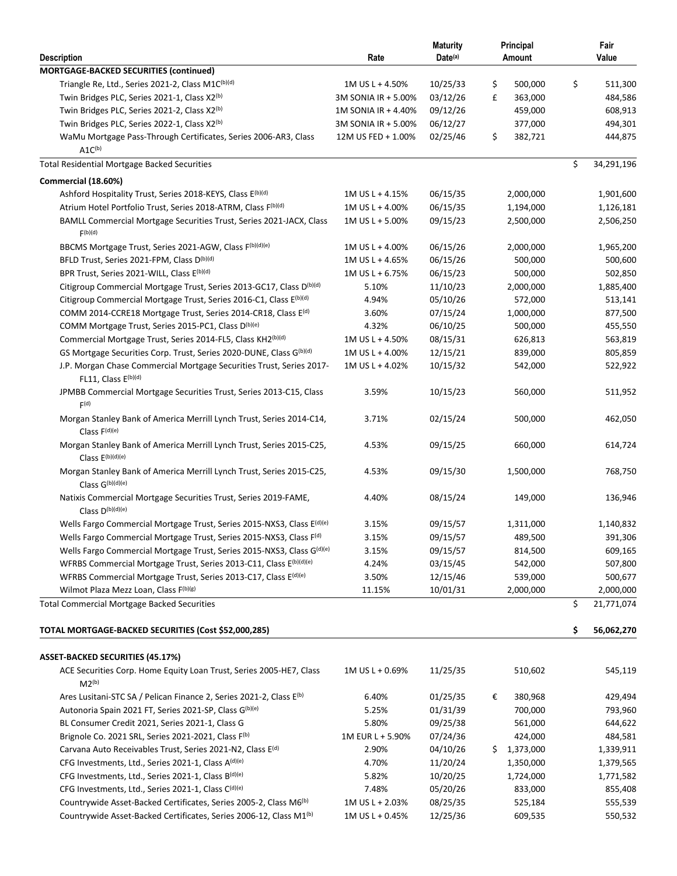| <b>Description</b>                                                                                             | Rate                | <b>Maturity</b><br>Date(a) |    | Principal<br>Amount | Fair<br>Value    |
|----------------------------------------------------------------------------------------------------------------|---------------------|----------------------------|----|---------------------|------------------|
| MORTGAGE-BACKED SECURITIES (continued)                                                                         |                     |                            |    |                     |                  |
| Triangle Re, Ltd., Series 2021-2, Class M1C(b)(d)                                                              | 1M US L + 4.50%     | 10/25/33                   | \$ | 500,000             | \$<br>511,300    |
| Twin Bridges PLC, Series 2021-1, Class X2(b)                                                                   | 3M SONIA IR + 5.00% | 03/12/26                   | £  | 363,000             | 484,586          |
| Twin Bridges PLC, Series 2021-2, Class X2(b)                                                                   | 1M SONIA IR + 4.40% | 09/12/26                   |    | 459,000             | 608,913          |
| Twin Bridges PLC, Series 2022-1, Class X2 <sup>(b)</sup>                                                       | 3M SONIA IR + 5.00% | 06/12/27                   |    | 377,000             | 494,301          |
| WaMu Mortgage Pass-Through Certificates, Series 2006-AR3, Class<br>$A1C^{(b)}$                                 | 12M US FED + 1.00%  | 02/25/46                   | \$ | 382,721             | 444,875          |
| <b>Total Residential Mortgage Backed Securities</b>                                                            |                     |                            |    |                     | \$<br>34,291,196 |
| Commercial (18.60%)                                                                                            |                     |                            |    |                     |                  |
| Ashford Hospitality Trust, Series 2018-KEYS, Class E(b)(d)                                                     | 1M US L + 4.15%     | 06/15/35                   |    | 2,000,000           | 1,901,600        |
| Atrium Hotel Portfolio Trust, Series 2018-ATRM, Class F(b)(d)                                                  | 1M US L + 4.00%     | 06/15/35                   |    | 1,194,000           | 1,126,181        |
| BAMLL Commercial Mortgage Securities Trust, Series 2021-JACX, Class<br>F(b)(d)                                 | 1M US L + 5.00%     | 09/15/23                   |    | 2,500,000           | 2,506,250        |
| BBCMS Mortgage Trust, Series 2021-AGW, Class F <sup>(b)(d)(e)</sup>                                            | 1M US L + 4.00%     | 06/15/26                   |    | 2,000,000           | 1,965,200        |
| BFLD Trust, Series 2021-FPM, Class D <sup>(b)(d)</sup>                                                         | 1M US L + 4.65%     | 06/15/26                   |    | 500,000             | 500,600          |
| BPR Trust, Series 2021-WILL, Class E(b)(d)                                                                     | 1M US L + 6.75%     | 06/15/23                   |    | 500,000             | 502,850          |
| Citigroup Commercial Mortgage Trust, Series 2013-GC17, Class D <sup>(b)(d)</sup>                               | 5.10%               | 11/10/23                   |    | 2,000,000           | 1,885,400        |
| Citigroup Commercial Mortgage Trust, Series 2016-C1, Class E(b)(d)                                             | 4.94%               | 05/10/26                   |    | 572,000             | 513,141          |
| COMM 2014-CCRE18 Mortgage Trust, Series 2014-CR18, Class E <sup>(d)</sup>                                      | 3.60%               | 07/15/24                   |    | 1,000,000           | 877,500          |
| COMM Mortgage Trust, Series 2015-PC1, Class D <sup>(b)(e)</sup>                                                | 4.32%               | 06/10/25                   |    | 500,000             | 455,550          |
| Commercial Mortgage Trust, Series 2014-FL5, Class KH2(b)(d)                                                    | 1M US L + 4.50%     | 08/15/31                   |    | 626,813             | 563,819          |
| GS Mortgage Securities Corp. Trust, Series 2020-DUNE, Class G(b)(d)                                            | 1M US L + 4.00%     | 12/15/21                   |    | 839,000             | 805,859          |
| J.P. Morgan Chase Commercial Mortgage Securities Trust, Series 2017-<br>FL11, Class E(b)(d)                    | 1M US L + 4.02%     | 10/15/32                   |    | 542,000             | 522,922          |
| JPMBB Commercial Mortgage Securities Trust, Series 2013-C15, Class<br>F(d)                                     | 3.59%               | 10/15/23                   |    | 560,000             | 511,952          |
| Morgan Stanley Bank of America Merrill Lynch Trust, Series 2014-C14,<br>Class $F(d)(e)$                        | 3.71%               | 02/15/24                   |    | 500,000             | 462,050          |
| Morgan Stanley Bank of America Merrill Lynch Trust, Series 2015-C25,<br>Class $E^{(b)(d)(e)}$                  | 4.53%               | 09/15/25                   |    | 660,000             | 614,724          |
| Morgan Stanley Bank of America Merrill Lynch Trust, Series 2015-C25,<br>Class $G^{(b)(d)(e)}$                  | 4.53%               | 09/15/30                   |    | 1,500,000           | 768,750          |
| Natixis Commercial Mortgage Securities Trust, Series 2019-FAME,<br>Class D(b)(d)(e)                            | 4.40%               | 08/15/24                   |    | 149,000             | 136,946          |
| Wells Fargo Commercial Mortgage Trust, Series 2015-NXS3, Class E <sup>(d)(e)</sup>                             | 3.15%               | 09/15/57                   |    | 1,311,000           | 1,140,832        |
| Wells Fargo Commercial Mortgage Trust, Series 2015-NXS3, Class F(d)                                            | 3.15%               | 09/15/57                   |    | 489,500             | 391,306          |
| Wells Fargo Commercial Mortgage Trust, Series 2015-NXS3, Class G <sup>(d)(e)</sup>                             | 3.15%               | 09/15/57                   |    | 814,500             | 609,165          |
| WFRBS Commercial Mortgage Trust, Series 2013-C11, Class E <sup>(b)(d)(e)</sup>                                 | 4.24%               | 03/15/45                   |    | 542,000             | 507,800          |
| WFRBS Commercial Mortgage Trust, Series 2013-C17, Class E <sup>(d)(e)</sup>                                    | 3.50%               | 12/15/46                   |    | 539,000             | 500,677          |
| Wilmot Plaza Mezz Loan, Class F(b)(g)                                                                          | 11.15%              | 10/01/31                   |    | 2,000,000           | 2,000,000        |
| <b>Total Commercial Mortgage Backed Securities</b>                                                             |                     |                            |    |                     | \$<br>21,771,074 |
| TOTAL MORTGAGE-BACKED SECURITIES (Cost \$52,000,285)                                                           |                     |                            |    |                     | \$<br>56,062,270 |
|                                                                                                                |                     |                            |    |                     |                  |
| <b>ASSET-BACKED SECURITIES (45.17%)</b><br>ACE Securities Corp. Home Equity Loan Trust, Series 2005-HE7, Class | 1M US L + 0.69%     | 11/25/35                   |    | 510,602             | 545,119          |
| $M2^{(b)}$                                                                                                     |                     |                            |    |                     |                  |
| Ares Lusitani-STC SA / Pelican Finance 2, Series 2021-2, Class E <sup>(b)</sup>                                | 6.40%               | 01/25/35                   | €  | 380,968             | 429,494          |
| Autonoria Spain 2021 FT, Series 2021-SP, Class G(b)(e)                                                         | 5.25%               | 01/31/39                   |    | 700,000             | 793,960          |
| BL Consumer Credit 2021, Series 2021-1, Class G                                                                | 5.80%               | 09/25/38                   |    | 561,000             | 644,622          |
| Brignole Co. 2021 SRL, Series 2021-2021, Class F(b)                                                            | 1M EUR L + 5.90%    | 07/24/36                   |    | 424,000             | 484,581          |
| Carvana Auto Receivables Trust, Series 2021-N2, Class E <sup>(d)</sup>                                         | 2.90%               | 04/10/26                   |    | \$1,373,000         | 1,339,911        |
| CFG Investments, Ltd., Series 2021-1, Class A(d)(e)                                                            | 4.70%               | 11/20/24                   |    | 1,350,000           | 1,379,565        |
| CFG Investments, Ltd., Series 2021-1, Class B(d)(e)                                                            | 5.82%               | 10/20/25                   |    | 1,724,000           | 1,771,582        |
| CFG Investments, Ltd., Series 2021-1, Class C(d)(e)                                                            | 7.48%               | 05/20/26                   |    | 833,000             | 855,408          |
| Countrywide Asset-Backed Certificates, Series 2005-2, Class M6 <sup>(b)</sup>                                  | 1M US L + 2.03%     | 08/25/35                   |    | 525,184             | 555,539          |
| Countrywide Asset-Backed Certificates, Series 2006-12, Class M1 <sup>(b)</sup>                                 | 1M US L + 0.45%     | 12/25/36                   |    | 609,535             | 550,532          |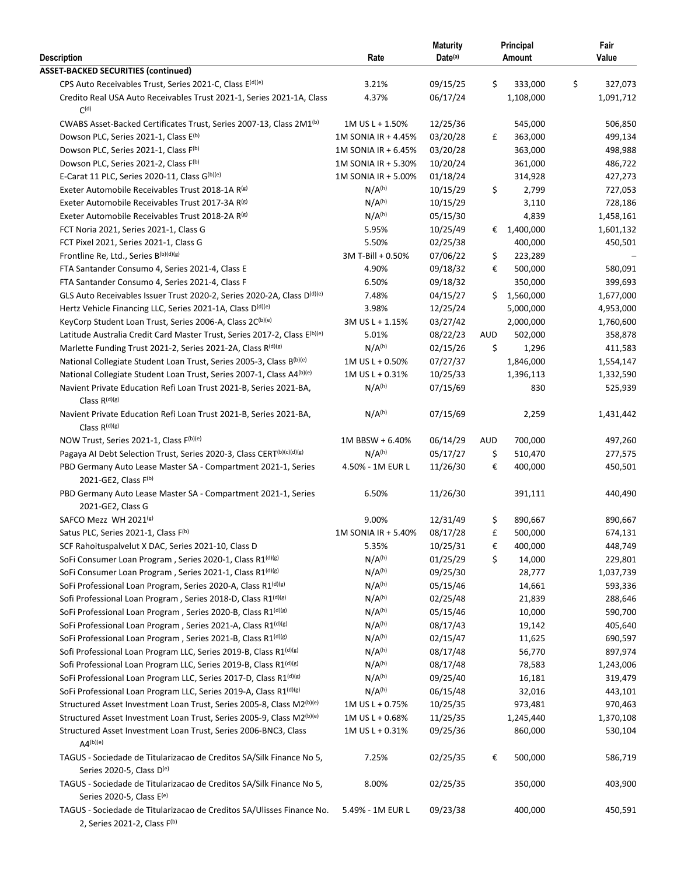| Description                                                                                           | Rate                | <b>Maturity</b><br>Date(a) |            | Principal<br>Amount | Fair<br>Value        |
|-------------------------------------------------------------------------------------------------------|---------------------|----------------------------|------------|---------------------|----------------------|
| <b>ASSET-BACKED SECURITIES (continued)</b>                                                            |                     |                            |            |                     |                      |
| CPS Auto Receivables Trust, Series 2021-C, Class E <sup>(d)(e)</sup>                                  | 3.21%               | 09/15/25                   | \$         | 333,000             | \$<br>327,073        |
| Credito Real USA Auto Receivables Trust 2021-1, Series 2021-1A, Class<br>C <sub>(d)</sub>             | 4.37%               | 06/17/24                   |            | 1,108,000           | 1,091,712            |
| CWABS Asset-Backed Certificates Trust, Series 2007-13, Class 2M1 <sup>(b)</sup>                       | 1M US L + 1.50%     | 12/25/36                   |            | 545,000             | 506,850              |
| Dowson PLC, Series 2021-1, Class E <sup>(b)</sup>                                                     | 1M SONIA IR + 4.45% | 03/20/28                   | £          | 363,000             | 499,134              |
| Dowson PLC, Series 2021-1, Class F(b)                                                                 | 1M SONIA IR + 6.45% | 03/20/28                   |            | 363,000             | 498,988              |
| Dowson PLC, Series 2021-2, Class F(b)                                                                 | 1M SONIA IR + 5.30% | 10/20/24                   |            | 361,000             | 486,722              |
| E-Carat 11 PLC, Series 2020-11, Class G(b)(e)                                                         | 1M SONIA IR + 5.00% | 01/18/24                   |            | 314,928             | 427,273              |
| Exeter Automobile Receivables Trust 2018-1A R(B)                                                      | N/A <sup>(h)</sup>  | 10/15/29                   | \$         | 2,799               | 727,053              |
| Exeter Automobile Receivables Trust 2017-3A R(g)                                                      | N/A <sup>(h)</sup>  | 10/15/29                   |            | 3,110               | 728,186              |
| Exeter Automobile Receivables Trust 2018-2A R <sup>(g)</sup>                                          | N/A <sup>(h)</sup>  | 05/15/30                   |            | 4,839               | 1,458,161            |
| FCT Noria 2021, Series 2021-1, Class G                                                                | 5.95%               | 10/25/49                   | €          | 1,400,000           | 1,601,132            |
| FCT Pixel 2021, Series 2021-1, Class G                                                                | 5.50%               | 02/25/38                   |            | 400,000             | 450,501              |
| Frontline Re, Ltd., Series B(b)(d)(g)                                                                 | 3M T-Bill + 0.50%   | 07/06/22                   | \$         | 223,289             |                      |
| FTA Santander Consumo 4, Series 2021-4, Class E                                                       | 4.90%               | 09/18/32                   | €          | 500,000             | 580,091              |
| FTA Santander Consumo 4, Series 2021-4, Class F                                                       | 6.50%               | 09/18/32                   |            | 350,000             | 399,693              |
| GLS Auto Receivables Issuer Trust 2020-2, Series 2020-2A, Class D <sup>(d)(e)</sup>                   | 7.48%               | 04/15/27                   | \$         | 1,560,000           | 1,677,000            |
| Hertz Vehicle Financing LLC, Series 2021-1A, Class D <sup>(d)(e)</sup>                                | 3.98%               | 12/25/24                   |            | 5,000,000           | 4,953,000            |
| KeyCorp Student Loan Trust, Series 2006-A, Class 2C(b)(e)                                             | 3M US L + 1.15%     | 03/27/42                   |            | 2,000,000           | 1,760,600            |
| Latitude Australia Credit Card Master Trust, Series 2017-2, Class E <sup>(b)(e)</sup>                 | 5.01%               | 08/22/23                   | <b>AUD</b> | 502,000             | 358,878              |
| Marlette Funding Trust 2021-2, Series 2021-2A, Class R(d)(g)                                          | N/A <sup>(h)</sup>  | 02/15/26                   | \$         | 1,296               | 411,583              |
| National Collegiate Student Loan Trust, Series 2005-3, Class B(b)(e)                                  | $1M$ US L + 0.50%   | 07/27/37                   |            | 1,846,000           | 1,554,147            |
| National Collegiate Student Loan Trust, Series 2007-1, Class A4(b)(e)                                 | 1M US L + 0.31%     | 10/25/33                   |            |                     |                      |
| Navient Private Education Refi Loan Trust 2021-B, Series 2021-BA,<br>Class $R^{(d)(g)}$               | N/A <sup>(h)</sup>  | 07/15/69                   |            | 1,396,113<br>830    | 1,332,590<br>525,939 |
| Navient Private Education Refi Loan Trust 2021-B, Series 2021-BA,<br>Class $R^{(d)(g)}$               | N/A <sup>(h)</sup>  | 07/15/69                   |            | 2,259               | 1,431,442            |
|                                                                                                       |                     |                            |            |                     |                      |
| NOW Trust, Series 2021-1, Class F(b)(e)                                                               | 1M BBSW + 6.40%     | 06/14/29                   | <b>AUD</b> | 700,000             | 497,260              |
| Pagaya AI Debt Selection Trust, Series 2020-3, Class CERT <sup>(b)(c)(d)(g)</sup>                     | N/A <sup>(h)</sup>  | 05/17/27                   | \$         | 510,470             | 277,575              |
| PBD Germany Auto Lease Master SA - Compartment 2021-1, Series<br>2021-GE2, Class F(b)                 | 4.50% - 1M EUR L    | 11/26/30                   | €          | 400,000             | 450,501              |
|                                                                                                       |                     |                            |            |                     |                      |
| PBD Germany Auto Lease Master SA - Compartment 2021-1, Series<br>2021-GE2, Class G                    | 6.50%               | 11/26/30                   |            | 391,111             | 440,490              |
| SAFCO Mezz WH 2021(g)                                                                                 | 9.00%               | 12/31/49                   | \$         | 890,667             | 890,667              |
| Satus PLC, Series 2021-1, Class F(b)                                                                  | 1M SONIA IR + 5.40% | 08/17/28                   | £          | 500,000             | 674,131              |
| SCF Rahoituspalvelut X DAC, Series 2021-10, Class D                                                   | 5.35%               | 10/25/31                   | €          | 400,000             | 448,749              |
| SoFi Consumer Loan Program, Series 2020-1, Class R1 <sup>(d)(g)</sup>                                 | N/A <sup>(h)</sup>  | 01/25/29                   | \$         | 14,000              | 229,801              |
| SoFi Consumer Loan Program, Series 2021-1, Class R1(d)(g)                                             | N/A <sup>(h)</sup>  | 09/25/30                   |            | 28,777              | 1,037,739            |
| SoFi Professional Loan Program, Series 2020-A, Class R1(d)(g)                                         | N/A <sup>(h)</sup>  | 05/15/46                   |            | 14,661              | 593,336              |
| Sofi Professional Loan Program, Series 2018-D, Class R1(d)(g)                                         | N/A <sup>(h)</sup>  | 02/25/48                   |            | 21,839              | 288,646              |
| SoFi Professional Loan Program, Series 2020-B, Class R1(d)(g)                                         | N/A <sup>(h)</sup>  | 05/15/46                   |            | 10,000              | 590,700              |
| SoFi Professional Loan Program, Series 2021-A, Class R1 <sup>(d)(g)</sup>                             | N/A <sup>(h)</sup>  | 08/17/43                   |            | 19,142              | 405,640              |
| SoFi Professional Loan Program, Series 2021-B, Class R1(d)(g)                                         | N/A <sup>(h)</sup>  | 02/15/47                   |            | 11,625              | 690,597              |
| Sofi Professional Loan Program LLC, Series 2019-B, Class R1(d)(g)                                     | N/A <sup>(h)</sup>  | 08/17/48                   |            | 56,770              | 897,974              |
| Sofi Professional Loan Program LLC, Series 2019-B, Class R1(d)(g)                                     | N/A <sup>(h)</sup>  | 08/17/48                   |            | 78,583              | 1,243,006            |
| SoFi Professional Loan Program LLC, Series 2017-D, Class R1(d)(g)                                     | N/A <sup>(h)</sup>  | 09/25/40                   |            | 16,181              | 319,479              |
| SoFi Professional Loan Program LLC, Series 2019-A, Class R1 <sup>(d)(g)</sup>                         | N/A <sup>(h)</sup>  | 06/15/48                   |            | 32,016              | 443,101              |
| Structured Asset Investment Loan Trust, Series 2005-8, Class M2 <sup>(b)(e)</sup>                     | 1M US L + 0.75%     | 10/25/35                   |            | 973,481             | 970,463              |
| Structured Asset Investment Loan Trust, Series 2005-9, Class M2(b)(e)                                 | 1M US L + 0.68%     | 11/25/35                   |            | 1,245,440           | 1,370,108            |
| Structured Asset Investment Loan Trust, Series 2006-BNC3, Class<br>$AA^{(b)(e)}$                      | $1M$ US L + 0.31%   | 09/25/36                   |            | 860,000             | 530,104              |
| TAGUS - Sociedade de Titularizacao de Creditos SA/Silk Finance No 5,<br>Series 2020-5, Class D(e)     | 7.25%               | 02/25/35                   | €          | 500,000             | 586,719              |
| TAGUS - Sociedade de Titularizacao de Creditos SA/Silk Finance No 5,<br>Series 2020-5, Class E(e)     | 8.00%               | 02/25/35                   |            | 350,000             | 403,900              |
| TAGUS - Sociedade de Titularizacao de Creditos SA/Ulisses Finance No.<br>2, Series 2021-2, Class F(b) | 5.49% - 1M EUR L    | 09/23/38                   |            | 400,000             | 450,591              |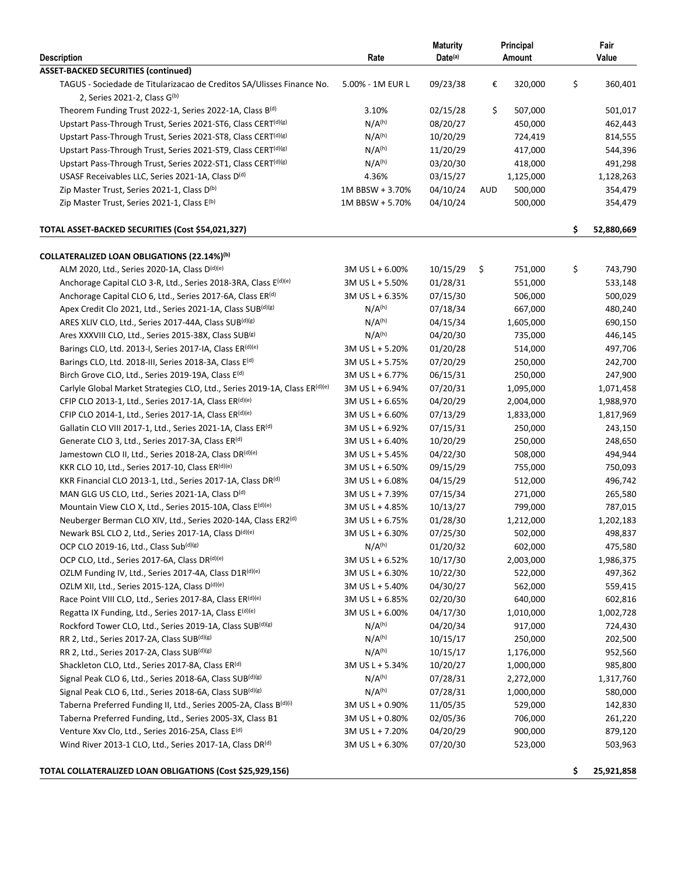|                                                                            |                                    | <b>Maturity</b>   |     | Principal |    | Fair       |  |  |
|----------------------------------------------------------------------------|------------------------------------|-------------------|-----|-----------|----|------------|--|--|
| <b>Description</b>                                                         | Rate                               | Date(a)<br>Amount |     |           |    | Value      |  |  |
| <b>ASSET-BACKED SECURITIES (continued)</b>                                 |                                    |                   |     |           |    |            |  |  |
| TAGUS - Sociedade de Titularizacao de Creditos SA/Ulisses Finance No.      | 5.00% - 1M EUR L                   | 09/23/38          | €   | 320,000   | \$ | 360,401    |  |  |
| 2, Series 2021-2, Class G(b)                                               |                                    |                   |     |           |    |            |  |  |
| Theorem Funding Trust 2022-1, Series 2022-1A, Class B(d)                   | 3.10%                              | 02/15/28          | \$  | 507,000   |    | 501,017    |  |  |
| Upstart Pass-Through Trust, Series 2021-ST6, Class CERT <sup>(d)(g)</sup>  | N/A <sup>(h)</sup>                 | 08/20/27          |     | 450,000   |    | 462,443    |  |  |
| Upstart Pass-Through Trust, Series 2021-ST8, Class CERT <sup>(d)(g)</sup>  | N/A <sup>(h)</sup>                 | 10/20/29          |     | 724,419   |    | 814,555    |  |  |
| Upstart Pass-Through Trust, Series 2021-ST9, Class CERT <sup>(d)(g)</sup>  | N/A <sup>(h)</sup>                 | 11/20/29          |     | 417,000   |    | 544,396    |  |  |
| Upstart Pass-Through Trust, Series 2022-ST1, Class CERT <sup>(d)(g)</sup>  | N/A <sup>(h)</sup>                 | 03/20/30          |     | 418,000   |    | 491,298    |  |  |
| USASF Receivables LLC, Series 2021-1A, Class D(d)                          | 4.36%                              | 03/15/27          |     | 1,125,000 |    | 1,128,263  |  |  |
| Zip Master Trust, Series 2021-1, Class D(b)                                | 1M BBSW + 3.70%                    | 04/10/24          | AUD | 500,000   |    | 354,479    |  |  |
| Zip Master Trust, Series 2021-1, Class E <sup>(b)</sup>                    | 1M BBSW + 5.70%                    | 04/10/24          |     | 500,000   |    | 354,479    |  |  |
| TOTAL ASSET-BACKED SECURITIES (Cost \$54,021,327)                          |                                    |                   |     |           | \$ | 52,880,669 |  |  |
| COLLATERALIZED LOAN OBLIGATIONS (22.14%) <sup>(b)</sup>                    |                                    |                   |     |           |    |            |  |  |
| ALM 2020, Ltd., Series 2020-1A, Class D(d)(e)                              | 3M US L + 6.00%                    | 10/15/29          | \$  | 751,000   | \$ | 743,790    |  |  |
| Anchorage Capital CLO 3-R, Ltd., Series 2018-3RA, Class E(d)(e)            | 3M US L + 5.50%                    | 01/28/31          |     | 551,000   |    | 533,148    |  |  |
| Anchorage Capital CLO 6, Ltd., Series 2017-6A, Class ER <sup>(d)</sup>     | 3M US L + 6.35%                    | 07/15/30          |     | 506,000   |    | 500,029    |  |  |
| Apex Credit Clo 2021, Ltd., Series 2021-1A, Class SUB(d)(g)                | N/A <sup>(h)</sup>                 | 07/18/34          |     | 667,000   |    | 480,240    |  |  |
| ARES XLIV CLO, Ltd., Series 2017-44A, Class SUB(d)(g)                      | N/A <sup>(h)</sup>                 | 04/15/34          |     | 1,605,000 |    | 690,150    |  |  |
| Ares XXXVIII CLO, Ltd., Series 2015-38X, Class SUB(s)                      | N/A <sup>(h)</sup>                 | 04/20/30          |     | 735,000   |    | 446,145    |  |  |
| Barings CLO, Ltd. 2013-I, Series 2017-IA, Class ER(d)(e)                   | 3M US L + 5.20%                    | 01/20/28          |     | 514,000   |    | 497,706    |  |  |
| Barings CLO, Ltd. 2018-III, Series 2018-3A, Class E <sup>(d)</sup>         | 3M US L + 5.75%                    | 07/20/29          |     | 250,000   |    | 242,700    |  |  |
| Birch Grove CLO, Ltd., Series 2019-19A, Class E <sup>(d)</sup>             | 3M US L + 6.77%                    | 06/15/31          |     | 250,000   |    | 247,900    |  |  |
| Carlyle Global Market Strategies CLO, Ltd., Series 2019-1A, Class ER(d)(e) | 3M US L + 6.94%                    | 07/20/31          |     | 1,095,000 |    | 1,071,458  |  |  |
| CFIP CLO 2013-1, Ltd., Series 2017-1A, Class ER(d)(e)                      | 3M US L + 6.65%                    | 04/20/29          |     | 2,004,000 |    | 1,988,970  |  |  |
| CFIP CLO 2014-1, Ltd., Series 2017-1A, Class ER(d)(e)                      | 3M US L + 6.60%                    | 07/13/29          |     | 1,833,000 |    | 1,817,969  |  |  |
| Gallatin CLO VIII 2017-1, Ltd., Series 2021-1A, Class ER <sup>(d)</sup>    | 3M US L + 6.92%                    | 07/15/31          |     | 250,000   |    | 243,150    |  |  |
| Generate CLO 3, Ltd., Series 2017-3A, Class ER <sup>(d)</sup>              | 3M US L + 6.40%                    | 10/20/29          |     | 250,000   |    | 248,650    |  |  |
| Jamestown CLO II, Ltd., Series 2018-2A, Class DR <sup>(d)(e)</sup>         | 3M US L + 5.45%                    | 04/22/30          |     | 508,000   |    | 494,944    |  |  |
| KKR CLO 10, Ltd., Series 2017-10, Class ER(d)(e)                           | 3M US L + 6.50%                    | 09/15/29          |     | 755,000   |    | 750,093    |  |  |
| KKR Financial CLO 2013-1, Ltd., Series 2017-1A, Class DR <sup>(d)</sup>    | 3M US L + 6.08%                    | 04/15/29          |     | 512,000   |    | 496,742    |  |  |
| MAN GLG US CLO, Ltd., Series 2021-1A, Class D(d)                           | 3M US L + 7.39%                    | 07/15/34          |     | 271,000   |    | 265,580    |  |  |
| Mountain View CLO X, Ltd., Series 2015-10A, Class E <sup>(d)(e)</sup>      | 3M US L + 4.85%                    | 10/13/27          |     | 799,000   |    | 787,015    |  |  |
| Neuberger Berman CLO XIV, Ltd., Series 2020-14A, Class ER2 <sup>(d)</sup>  | 3M US L + 6.75%                    | 01/28/30          |     | 1,212,000 |    | 1,202,183  |  |  |
| Newark BSL CLO 2, Ltd., Series 2017-1A, Class D(d)(e)                      | 3M US L + 6.30%                    | 07/25/30          |     | 502,000   |    | 498,837    |  |  |
| OCP CLO 2019-16, Ltd., Class Sub(d)(g)                                     | N/A <sup>(h)</sup>                 | 01/20/32          |     | 602,000   |    | 475,580    |  |  |
| OCP CLO, Ltd., Series 2017-6A, Class DR(d)(e)                              | 3M US L + 6.52%                    | 10/17/30          |     | 2,003,000 |    | 1,986,375  |  |  |
| OZLM Funding IV, Ltd., Series 2017-4A, Class D1R(d)(e)                     | 3M US L + 6.30%                    | 10/22/30          |     | 522,000   |    | 497,362    |  |  |
| OZLM XII, Ltd., Series 2015-12A, Class D(d)(e)                             | 3M US L + 5.40%                    | 04/30/27          |     | 562,000   |    | 559,415    |  |  |
| Race Point VIII CLO, Ltd., Series 2017-8A, Class ER(d)(e)                  | 3M US L + 6.85%                    | 02/20/30          |     | 640,000   |    | 602,816    |  |  |
| Regatta IX Funding, Ltd., Series 2017-1A, Class E <sup>(d)(e)</sup>        | 3M US L + 6.00%                    | 04/17/30          |     | 1,010,000 |    | 1,002,728  |  |  |
| Rockford Tower CLO, Ltd., Series 2019-1A, Class SUB(d)(g)                  | N/A <sup>(h)</sup>                 | 04/20/34          |     | 917,000   |    | 724,430    |  |  |
| RR 2, Ltd., Series 2017-2A, Class SUB(d)(g)                                | N/A <sup>(h)</sup>                 | 10/15/17          |     | 250,000   |    | 202,500    |  |  |
| RR 2, Ltd., Series 2017-2A, Class SUB(d)(g)                                | N/A <sup>(h)</sup>                 | 10/15/17          |     | 1,176,000 |    | 952,560    |  |  |
| Shackleton CLO, Ltd., Series 2017-8A, Class ER(d)                          | 3M US L + 5.34%                    | 10/20/27          |     | 1,000,000 |    | 985,800    |  |  |
| Signal Peak CLO 6, Ltd., Series 2018-6A, Class SUB(d)(g)                   | N/A <sup>(h)</sup>                 | 07/28/31          |     | 2,272,000 |    | 1,317,760  |  |  |
| Signal Peak CLO 6, Ltd., Series 2018-6A, Class SUB(d)(g)                   | N/A <sup>(h)</sup>                 | 07/28/31          |     | 1,000,000 |    | 580,000    |  |  |
| Taberna Preferred Funding II, Ltd., Series 2005-2A, Class B(d)(i)          | 3M US L + 0.90%                    | 11/05/35          |     | 529,000   |    | 142,830    |  |  |
| Taberna Preferred Funding, Ltd., Series 2005-3X, Class B1                  |                                    | 02/05/36          |     | 706,000   |    | 261,220    |  |  |
| Venture Xxv Clo, Ltd., Series 2016-25A, Class E(d)                         | 3M US L + 0.80%<br>3M US L + 7.20% | 04/20/29          |     | 900,000   |    | 879,120    |  |  |
| Wind River 2013-1 CLO, Ltd., Series 2017-1A, Class DR(d)                   | 3M US L + 6.30%                    | 07/20/30          |     | 523,000   |    | 503,963    |  |  |
|                                                                            |                                    |                   |     |           |    |            |  |  |

**TOTAL COLLATERALIZED LOAN OBLIGATIONS (Cost \$25,929,156) \$ 25,921,858**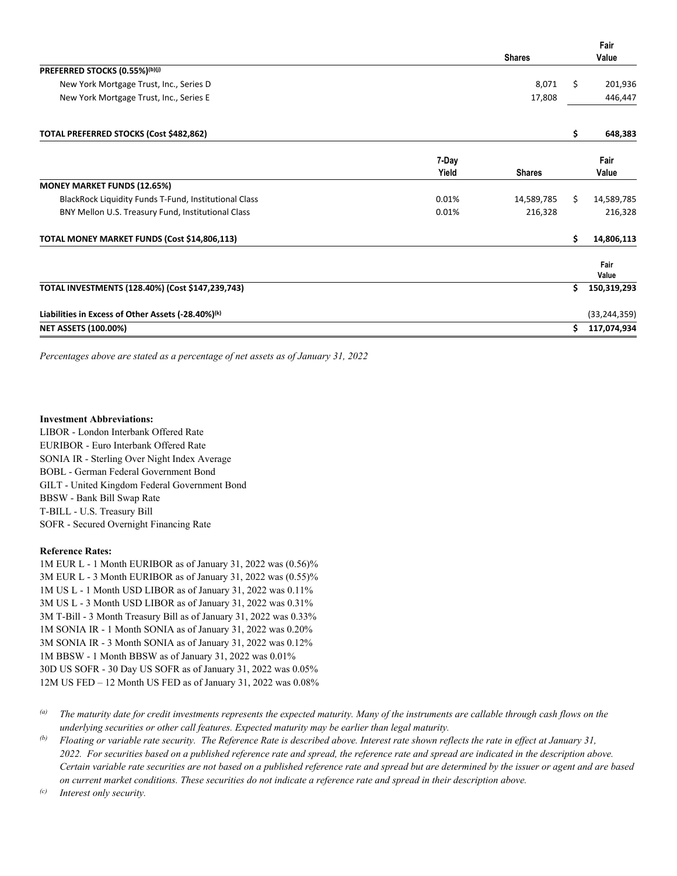|                                                                |       |               |    | Fair           |
|----------------------------------------------------------------|-------|---------------|----|----------------|
|                                                                |       | <b>Shares</b> |    | Value          |
| PREFERRED STOCKS (0.55%)(b)(j)                                 |       |               |    |                |
| New York Mortgage Trust, Inc., Series D                        |       | 8,071         | Ś. | 201,936        |
| New York Mortgage Trust, Inc., Series E                        |       | 17,808        |    | 446,447        |
| TOTAL PREFERRED STOCKS (Cost \$482,862)                        |       |               | \$ | 648,383        |
|                                                                | 7-Day |               |    | Fair           |
|                                                                | Yield | <b>Shares</b> |    | Value          |
| <b>MONEY MARKET FUNDS (12.65%)</b>                             |       |               |    |                |
| BlackRock Liquidity Funds T-Fund, Institutional Class          | 0.01% | 14,589,785    | S. | 14,589,785     |
| BNY Mellon U.S. Treasury Fund, Institutional Class             | 0.01% | 216,328       |    | 216,328        |
| TOTAL MONEY MARKET FUNDS (Cost \$14,806,113)                   |       |               | \$ | 14,806,113     |
|                                                                |       |               |    | Fair<br>Value  |
| TOTAL INVESTMENTS (128.40%) (Cost \$147,239,743)               |       |               | Ś. | 150,319,293    |
| Liabilities in Excess of Other Assets (-28.40%) <sup>(k)</sup> |       |               |    | (33, 244, 359) |
| <b>NET ASSETS (100.00%)</b>                                    |       |               | Ś. | 117,074,934    |
|                                                                |       |               |    |                |

*Percentages above are stated as a percentage of net assets as of January 31, 2022* 

#### **Investment Abbreviations:**

LIBOR - London Interbank Offered Rate EURIBOR - Euro Interbank Offered Rate SONIA IR - Sterling Over Night Index Average BOBL - German Federal Government Bond GILT - United Kingdom Federal Government Bond BBSW - Bank Bill Swap Rate T-BILL - U.S. Treasury Bill SOFR - Secured Overnight Financing Rate

#### **Reference Rates:**

- 1M EUR L 1 Month EURIBOR as of January 31, 2022 was (0.56)% 3M EUR L - 3 Month EURIBOR as of January 31, 2022 was (0.55)% 1M US L - 1 Month USD LIBOR as of January 31, 2022 was 0.11% 3M US L - 3 Month USD LIBOR as of January 31, 2022 was 0.31% 3M T-Bill - 3 Month Treasury Bill as of January 31, 2022 was 0.33% 1M SONIA IR - 1 Month SONIA as of January 31, 2022 was 0.20% 3M SONIA IR - 3 Month SONIA as of January 31, 2022 was 0.12% 1M BBSW - 1 Month BBSW as of January 31, 2022 was 0.01% 30D US SOFR - 30 Day US SOFR as of January 31, 2022 was 0.05% 12M US FED – 12 Month US FED as of January 31, 2022 was 0.08%
- <sup>(a)</sup> The maturity date for credit investments represents the expected maturity. Many of the instruments are callable through cash flows on the *underlying securities or other call features. Expected maturity may be earlier than legal maturity.*
- *(b) Floating or variable rate security. The Reference Rate is described above. Interest rate shown reflects the rate in effect at January 31, 2022. For securities based on a published reference rate and spread, the reference rate and spread are indicated in the description above. Certain variable rate securities are not based on a published reference rate and spread but are determined by the issuer or agent and are based on current market conditions. These securities do not indicate a reference rate and spread in their description above.*

*(c) Interest only security.*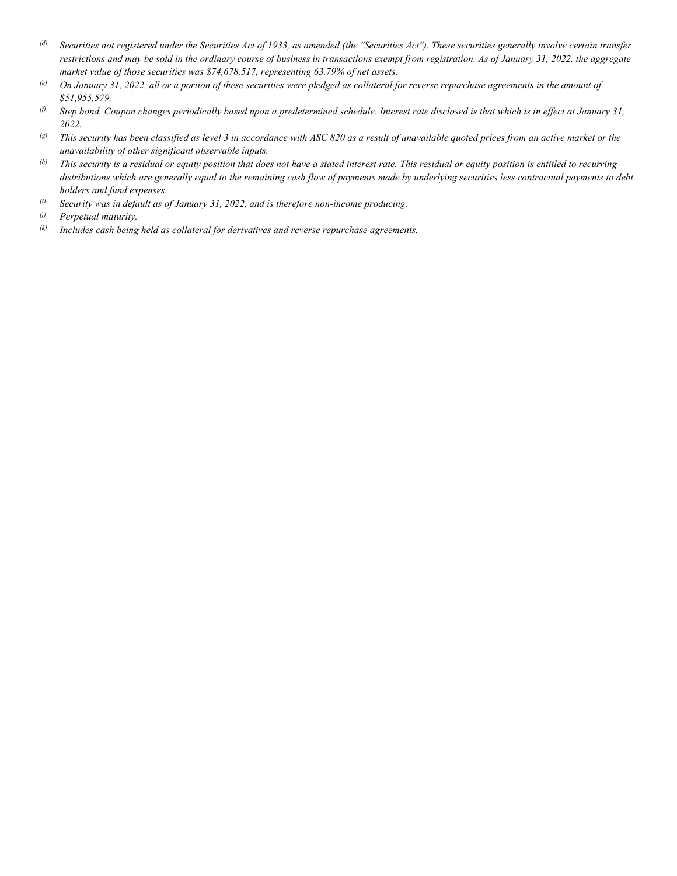- *(d) Securities not registered under the Securities Act of 1933, as amended (the "Securities Act"). These securities generally involve certain transfer restrictions and may be sold in the ordinary course of business in transactions exempt from registration. As of January 31, 2022, the aggregate market value of those securities was \$74,678,517, representing 63.79% of net assets.*
- *(e) On January 31, 2022, all or a portion of these securities were pledged as collateral for reverse repurchase agreements in the amount of \$51,955,579.*
- $\emptyset$  Step bond. Coupon changes periodically based upon a predetermined schedule. Interest rate disclosed is that which is in effect at January 31, *2022.*
- *(g) This security has been classified as level 3 in accordance with ASC 820 as a result of unavailable quoted prices from an active market or the unavailability of other significant observable inputs.*
- *(h) This security is a residual or equity position that does not have a stated interest rate. This residual or equity position is entitled to recurring distributions which are generally equal to the remaining cash flow of payments made by underlying securities less contractual payments to debt holders and fund expenses.*
- *(i) Security was in default as of January 31, 2022, and is therefore non-income producing.*

*(k) Includes cash being held as collateral for derivatives and reverse repurchase agreements.* 

*<sup>(</sup>j) Perpetual maturity.*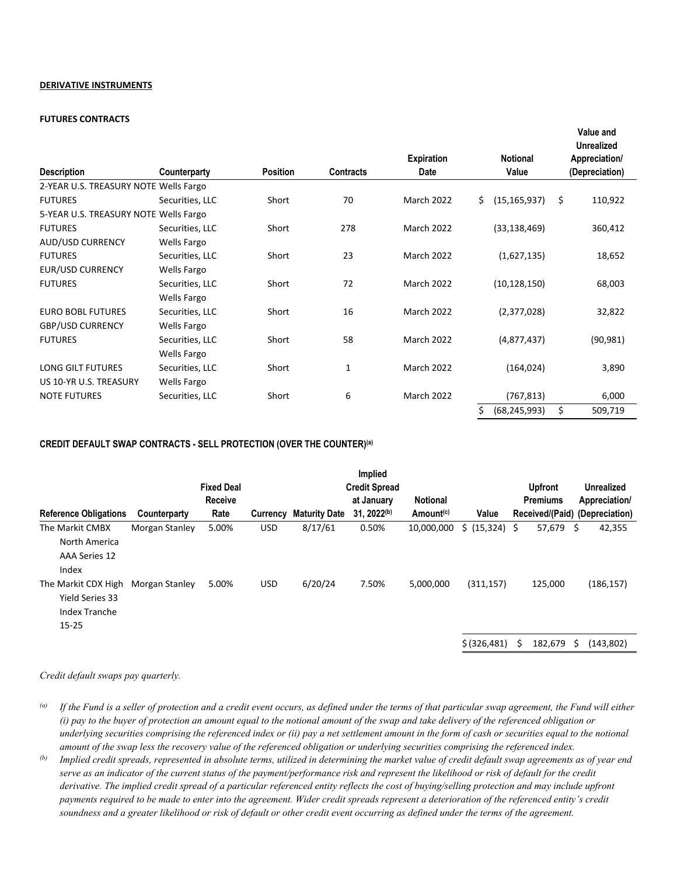#### **DERIVATIVE INSTRUMENTS**

#### **FUTURES CONTRACTS**

| <b>Description</b>                    | Counterparty       | <b>Position</b> | <b>Contracts</b> | <b>Expiration</b><br>Date |    | <b>Notional</b><br>Value |    | Value and<br><b>Unrealized</b><br>Appreciation/<br>(Depreciation) |
|---------------------------------------|--------------------|-----------------|------------------|---------------------------|----|--------------------------|----|-------------------------------------------------------------------|
| 2-YEAR U.S. TREASURY NOTE Wells Fargo |                    |                 |                  |                           |    |                          |    |                                                                   |
| <b>FUTURES</b>                        | Securities, LLC    | Short           | 70               | <b>March 2022</b>         | Ś. | (15, 165, 937)           | Ŝ. | 110,922                                                           |
| 5-YEAR U.S. TREASURY NOTE Wells Fargo |                    |                 |                  |                           |    |                          |    |                                                                   |
| <b>FUTURES</b>                        | Securities, LLC    | Short           | 278              | <b>March 2022</b>         |    | (33, 138, 469)           |    | 360,412                                                           |
| AUD/USD CURRENCY                      | <b>Wells Fargo</b> |                 |                  |                           |    |                          |    |                                                                   |
| <b>FUTURES</b>                        | Securities, LLC    | Short           | 23               | March 2022                |    | (1,627,135)              |    | 18,652                                                            |
| EUR/USD CURRENCY                      | <b>Wells Fargo</b> |                 |                  |                           |    |                          |    |                                                                   |
| <b>FUTURES</b>                        | Securities, LLC    | Short           | 72               | <b>March 2022</b>         |    | (10, 128, 150)           |    | 68,003                                                            |
|                                       | Wells Fargo        |                 |                  |                           |    |                          |    |                                                                   |
| <b>EURO BOBL FUTURES</b>              | Securities, LLC    | Short           | 16               | <b>March 2022</b>         |    | (2,377,028)              |    | 32,822                                                            |
| <b>GBP/USD CURRENCY</b>               | Wells Fargo        |                 |                  |                           |    |                          |    |                                                                   |
| <b>FUTURES</b>                        | Securities, LLC    | Short           | 58               | <b>March 2022</b>         |    | (4,877,437)              |    | (90, 981)                                                         |
|                                       | <b>Wells Fargo</b> |                 |                  |                           |    |                          |    |                                                                   |
| <b>LONG GILT FUTURES</b>              | Securities, LLC    | Short           | 1                | <b>March 2022</b>         |    | (164, 024)               |    | 3,890                                                             |
| US 10-YR U.S. TREASURY                | Wells Fargo        |                 |                  |                           |    |                          |    |                                                                   |
| <b>NOTE FUTURES</b>                   | Securities, LLC    | Short           | 6                | <b>March 2022</b>         |    | (767, 813)               |    | 6,000                                                             |
|                                       |                    |                 |                  |                           | \$ | (68, 245, 993)           | \$ | 509,719                                                           |

## **CREDIT DEFAULT SWAP CONTRACTS - SELL PROTECTION (OVER THE COUNTER)(a)**

|                                                                             |                |                   |            |                      | Implied              |                       |                |   |                 |     |                                |
|-----------------------------------------------------------------------------|----------------|-------------------|------------|----------------------|----------------------|-----------------------|----------------|---|-----------------|-----|--------------------------------|
|                                                                             |                | <b>Fixed Deal</b> |            |                      | <b>Credit Spread</b> |                       |                |   | <b>Upfront</b>  |     | <b>Unrealized</b>              |
|                                                                             |                | Receive           |            |                      | at January           | <b>Notional</b>       |                |   | <b>Premiums</b> |     | Appreciation/                  |
| <b>Reference Obligations</b>                                                | Counterparty   | Rate              | Currency   | <b>Maturity Date</b> | $31.2022^{(b)}$      | Amount <sup>(c)</sup> | Value          |   |                 |     | Received/(Paid) (Depreciation) |
| The Markit CMBX<br>North America<br>AAA Series 12<br>Index                  | Morgan Stanley | 5.00%             | <b>USD</b> | 8/17/61              | 0.50%                | 10,000,000            | \$ (15,324) \$ |   | 57,679          | \$. | 42,355                         |
| The Markit CDX High<br><b>Yield Series 33</b><br>Index Tranche<br>$15 - 25$ | Morgan Stanley | 5.00%             | <b>USD</b> | 6/20/24              | 7.50%                | 5,000,000             | (311, 157)     |   | 125,000         |     | (186, 157)                     |
|                                                                             |                |                   |            |                      |                      |                       | \$ (326, 481)  | Ś | 182,679         | Ŝ.  | (143, 802)                     |

#### *Credit default swaps pay quarterly.*

*(a) If the Fund is a seller of protection and a credit event occurs, as defined under the terms of that particular swap agreement, the Fund will either (i) pay to the buyer of protection an amount equal to the notional amount of the swap and take delivery of the referenced obligation or underlying securities comprising the referenced index or (ii) pay a net settlement amount in the form of cash or securities equal to the notional*  amount of the swap less the recovery value of the referenced obligation or underlying securities comprising the referenced index.<br>(b) Implied credit spreads, represented in absolute terms, utilized in determining the mark

serve as an indicator of the current status of the payment/performance risk and represent the likelihood or risk of default for the credit derivative. The implied credit spread of a particular referenced entity reflects the cost of buying/selling protection and may include upfront payments required to be made to enter into the agreement. Wider credit spreads represent a deterioration of the referenced entity's credit *soundness and a greater likelihood or risk of default or other credit event occurring as defined under the terms of the agreement.*